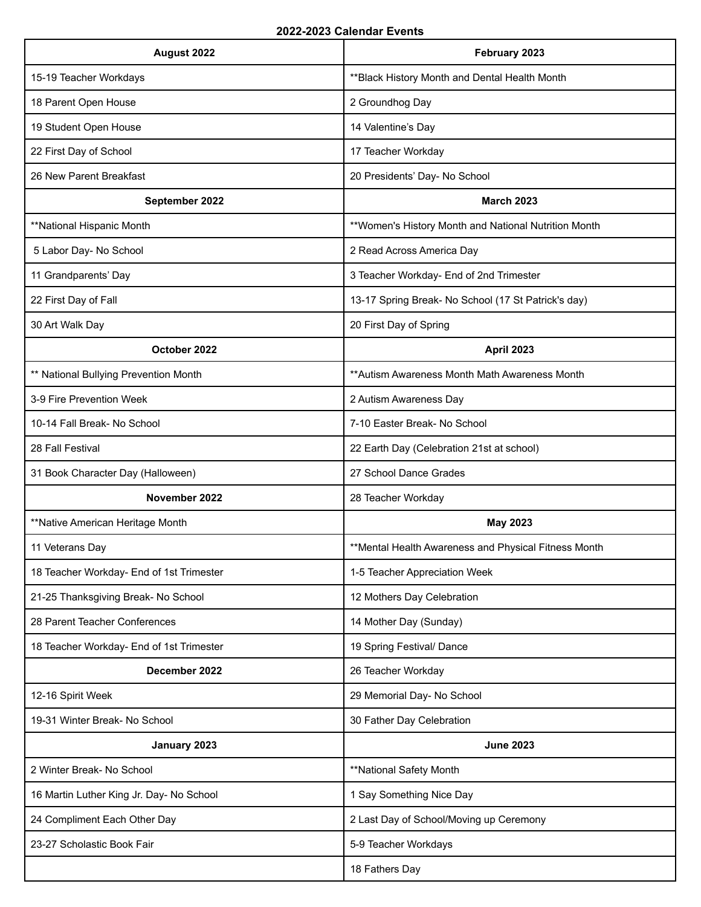| August 2022                              | February 2023                                        |
|------------------------------------------|------------------------------------------------------|
| 15-19 Teacher Workdays                   | ** Black History Month and Dental Health Month       |
| 18 Parent Open House                     | 2 Groundhog Day                                      |
| 19 Student Open House                    | 14 Valentine's Day                                   |
| 22 First Day of School                   | 17 Teacher Workday                                   |
| 26 New Parent Breakfast                  | 20 Presidents' Day- No School                        |
| September 2022                           | <b>March 2023</b>                                    |
| **National Hispanic Month                | **Women's History Month and National Nutrition Month |
| 5 Labor Day- No School                   | 2 Read Across America Day                            |
| 11 Grandparents' Day                     | 3 Teacher Workday- End of 2nd Trimester              |
| 22 First Day of Fall                     | 13-17 Spring Break- No School (17 St Patrick's day)  |
| 30 Art Walk Day                          | 20 First Day of Spring                               |
| October 2022                             | <b>April 2023</b>                                    |
| ** National Bullying Prevention Month    | ** Autism Awareness Month Math Awareness Month       |
| 3-9 Fire Prevention Week                 | 2 Autism Awareness Day                               |
| 10-14 Fall Break- No School              | 7-10 Easter Break- No School                         |
| 28 Fall Festival                         | 22 Earth Day (Celebration 21st at school)            |
| 31 Book Character Day (Halloween)        | 27 School Dance Grades                               |
| November 2022                            | 28 Teacher Workday                                   |
| **Native American Heritage Month         | <b>May 2023</b>                                      |
| 11 Veterans Day                          | **Mental Health Awareness and Physical Fitness Month |
| 18 Teacher Workday- End of 1st Trimester | 1-5 Teacher Appreciation Week                        |
| 21-25 Thanksgiving Break- No School      | 12 Mothers Day Celebration                           |
| 28 Parent Teacher Conferences            | 14 Mother Day (Sunday)                               |
| 18 Teacher Workday- End of 1st Trimester | 19 Spring Festival/ Dance                            |
| December 2022                            | 26 Teacher Workday                                   |
| 12-16 Spirit Week                        | 29 Memorial Day- No School                           |
| 19-31 Winter Break- No School            | 30 Father Day Celebration                            |
| January 2023                             | <b>June 2023</b>                                     |
| 2 Winter Break- No School                | **National Safety Month                              |
| 16 Martin Luther King Jr. Day- No School | 1 Say Something Nice Day                             |
| 24 Compliment Each Other Day             | 2 Last Day of School/Moving up Ceremony              |
| 23-27 Scholastic Book Fair               | 5-9 Teacher Workdays                                 |
|                                          | 18 Fathers Day                                       |